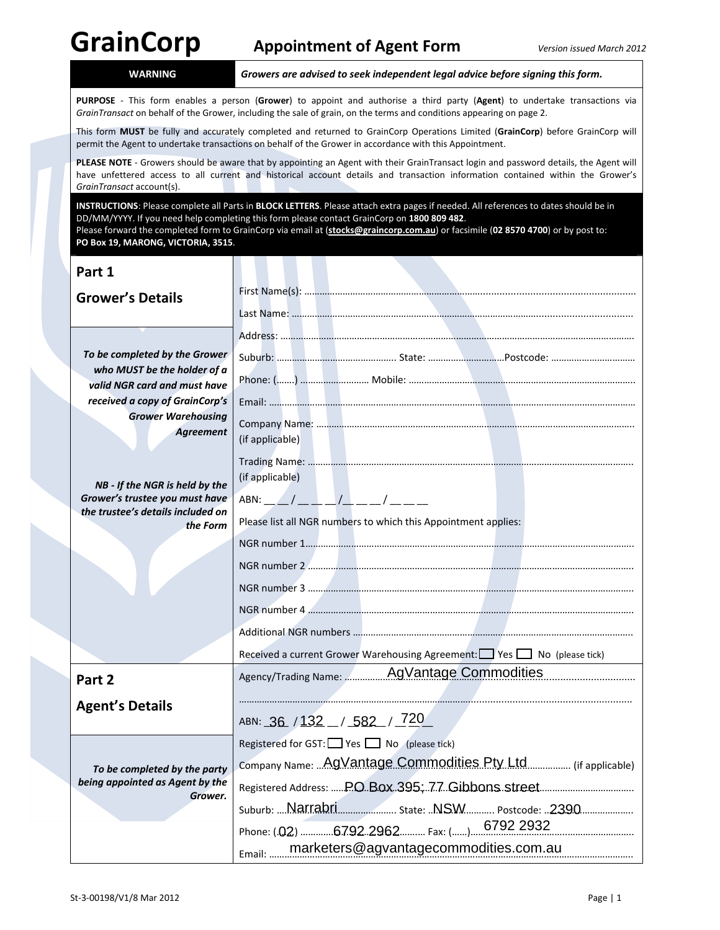**WARNING** *Growers are advised to seek independent legal advice before signing this form.*

**PURPOSE** ‐ This form enables a person (**Grower**) to appoint and authorise a third party (**Agent**) to undertake transactions via *GrainTransact* on behalf of the Grower, including the sale of grain, on the terms and conditions appearing on page 2.

This form **MUST** be fully and accurately completed and returned to GrainCorp Operations Limited (**GrainCorp**) before GrainCorp will permit the Agent to undertake transactions on behalf of the Grower in accordance with this Appointment.

**PLEASE NOTE** ‐ Growers should be aware that by appointing an Agent with their GrainTransact login and password details, the Agent will have unfettered access to all current and historical account details and transaction information contained within the Grower's *GrainTransact* account(s).

**INSTRUCTIONS**: Please complete all Parts in **BLOCK LETTERS**. Please attach extra pages if needed. All references to dates should be in DD/MM/YYYY. If you need help completing this form please contact GrainCorp on **1800 809 482**. Please forward the completed form to GrainCorp via email at (**stocks@graincorp.com.au**) or facsimile (**02 8570 4700**) or by post to: **PO Box 19, MARONG, VICTORIA, 3515**.

| Part 1                                                                                       |                                                                       |  |  |
|----------------------------------------------------------------------------------------------|-----------------------------------------------------------------------|--|--|
| <b>Grower's Details</b>                                                                      |                                                                       |  |  |
|                                                                                              |                                                                       |  |  |
| To be completed by the Grower<br>who MUST be the holder of a<br>valid NGR card and must have |                                                                       |  |  |
|                                                                                              |                                                                       |  |  |
|                                                                                              |                                                                       |  |  |
| received a copy of GrainCorp's                                                               |                                                                       |  |  |
| <b>Grower Warehousing</b><br><b>Agreement</b>                                                | (if applicable)                                                       |  |  |
|                                                                                              | (if applicable)                                                       |  |  |
| NB - If the NGR is held by the<br>Grower's trustee you must have                             | ABN: ___/ __ _ _/ __ __/ __ __/                                       |  |  |
| the trustee's details included on<br>the Form                                                | Please list all NGR numbers to which this Appointment applies:        |  |  |
|                                                                                              |                                                                       |  |  |
|                                                                                              |                                                                       |  |  |
|                                                                                              |                                                                       |  |  |
|                                                                                              |                                                                       |  |  |
|                                                                                              |                                                                       |  |  |
|                                                                                              | Received a current Grower Warehousing Agreement: Ves No (please tick) |  |  |
| Part 2                                                                                       | Agency/Trading Name: 40Vantage Commodities                            |  |  |
| <b>Agent's Details</b>                                                                       |                                                                       |  |  |
|                                                                                              | ABN: 36 / 132 / 582 / 720                                             |  |  |
| To be completed by the party<br>being appointed as Agent by the<br>Grower.                   | Registered for GST: Yes No (please tick)                              |  |  |
|                                                                                              | Company Name:  AgVantage Commodities Pty Ltd  (if applicable)         |  |  |
|                                                                                              |                                                                       |  |  |
|                                                                                              |                                                                       |  |  |
|                                                                                              |                                                                       |  |  |
|                                                                                              | marketers@agvantagecommodities.com.au<br>Email                        |  |  |